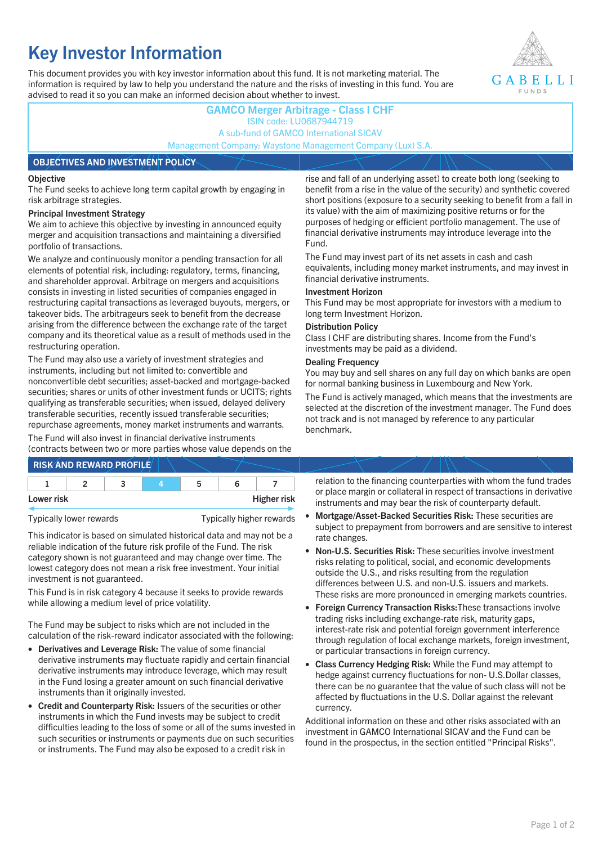# **Key Investor Information**

This document provides you with key investor information about this fund. It is not marketing material. The information is required by law to help you understand the nature and the risks of investing in this fund. You are advised to read it so you can make an informed decision about whether to invest.



## **GAMCO Merger Arbitrage - Class I CHF** ISIN code: LU0687944719 A sub-fund of GAMCO International SICAV Management Company: Waystone Management Company (Lux) S.A. **OBJECTIVES AND INVESTMENT POLICY**

#### **Objective**

The Fund seeks to achieve long term capital growth by engaging in risk arbitrage strategies.

#### **Principal Investment Strategy**

We aim to achieve this objective by investing in announced equity merger and acquisition transactions and maintaining a diversified portfolio of transactions.

We analyze and continuously monitor a pending transaction for all elements of potential risk, including: regulatory, terms, financing, and shareholder approval. Arbitrage on mergers and acquisitions consists in investing in listed securities of companies engaged in restructuring capital transactions as leveraged buyouts, mergers, or takeover bids. The arbitrageurs seek to benefit from the decrease arising from the difference between the exchange rate of the target company and its theoretical value as a result of methods used in the restructuring operation.

The Fund may also use a variety of investment strategies and instruments, including but not limited to: convertible and nonconvertible debt securities; asset-backed and mortgage-backed securities; shares or units of other investment funds or UCITS; rights qualifying as transferable securities; when issued, delayed delivery transferable securities, recently issued transferable securities; repurchase agreements, money market instruments and warrants.

The Fund will also invest in financial derivative instruments (contracts between two or more parties whose value depends on the

|            |  | <b>RISK AND REWARD PROFILE</b> |    |                    |  |
|------------|--|--------------------------------|----|--------------------|--|
|            |  |                                | 'n |                    |  |
| Lower risk |  |                                |    | <b>Higher risk</b> |  |

Typically lower rewards Typically higher rewards

This indicator is based on simulated historical data and may not be a reliable indication of the future risk profile of the Fund. The risk category shown is not guaranteed and may change over time. The lowest category does not mean a risk free investment. Your initial investment is not guaranteed.

This Fund is in risk category 4 because it seeks to provide rewards while allowing a medium level of price volatility.

The Fund may be subject to risks which are not included in the calculation of the risk-reward indicator associated with the following:

- **Derivatives and Leverage Risk:** The value of some financial derivative instruments may fluctuate rapidly and certain financial derivative instruments may introduce leverage, which may result in the Fund losing a greater amount on such financial derivative instruments than it originally invested.
- **Credit and Counterparty Risk:** Issuers of the securities or other instruments in which the Fund invests may be subject to credit difficulties leading to the loss of some or all of the sums invested in such securities or instruments or payments due on such securities or instruments. The Fund may also be exposed to a credit risk in

rise and fall of an underlying asset) to create both long (seeking to benefit from a rise in the value of the security) and synthetic covered short positions (exposure to a security seeking to benefit from a fall in its value) with the aim of maximizing positive returns or for the purposes of hedging or efficient portfolio management. The use of financial derivative instruments may introduce leverage into the Fund.

The Fund may invest part of its net assets in cash and cash equivalents, including money market instruments, and may invest in financial derivative instruments.

#### **Investment Horizon**

This Fund may be most appropriate for investors with a medium to long term Investment Horizon.

#### **Distribution Policy**

Class I CHF are distributing shares. Income from the Fund's investments may be paid as a dividend.

#### **Dealing Frequency**

You may buy and sell shares on any full day on which banks are open for normal banking business in Luxembourg and New York.

The Fund is actively managed, which means that the investments are selected at the discretion of the investment manager. The Fund does not track and is not managed by reference to any particular benchmark.

relation to the financing counterparties with whom the fund trades or place margin or collateral in respect of transactions in derivative instruments and may bear the risk of counterparty default.

- **Mortgage/Asset-Backed Securities Risk:** These securities are subject to prepayment from borrowers and are sensitive to interest rate changes.
- **Non-U.S. Securities Risk:** These securities involve investment risks relating to political, social, and economic developments outside the U.S., and risks resulting from the regulation differences between U.S. and non-U.S. issuers and markets. These risks are more pronounced in emerging markets countries.
- **Foreign Currency Transaction Risks:**These transactions involve trading risks including exchange-rate risk, maturity gaps, interest-rate risk and potential foreign government interference through regulation of local exchange markets, foreign investment, or particular transactions in foreign currency.
- **Class Currency Hedging Risk:** While the Fund may attempt to hedge against currency fluctuations for non- U.S.Dollar classes, there can be no guarantee that the value of such class will not be affected by fluctuations in the U.S. Dollar against the relevant currency.

Additional information on these and other risks associated with an investment in GAMCO International SICAV and the Fund can be found in the prospectus, in the section entitled "Principal Risks".